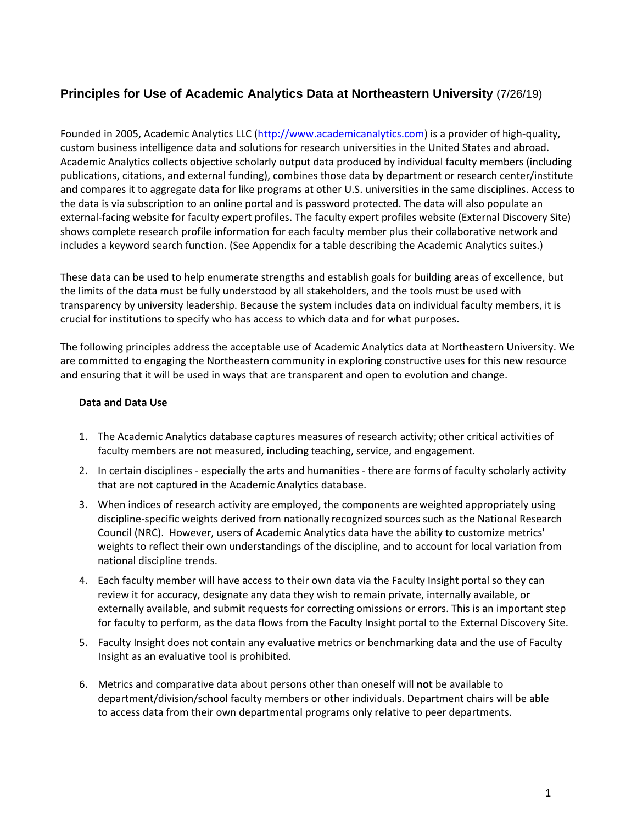## **Principles for Use of Academic Analytics Data at Northeastern University** (7/26/19)

Founded in 2005, Academic Analytics LLC (http://www.academicanalytics.com) is a provider of high‐quality, custom business intelligence data and solutions for research universities in the United States and abroad. Academic Analytics collects objective scholarly output data produced by individual faculty members (including publications, citations, and external funding), combines those data by department or research center/institute and compares it to aggregate data for like programs at other U.S. universities in the same disciplines. Access to the data is via subscription to an online portal and is password protected. The data will also populate an external‐facing website for faculty expert profiles. The faculty expert profiles website (External Discovery Site) shows complete research profile information for each faculty member plus their collaborative network and includes a keyword search function. (See Appendix for a table describing the Academic Analytics suites.)

These data can be used to help enumerate strengths and establish goals for building areas of excellence, but the limits of the data must be fully understood by all stakeholders, and the tools must be used with transparency by university leadership. Because the system includes data on individual faculty members, it is crucial for institutions to specify who has access to which data and for what purposes.

The following principles address the acceptable use of Academic Analytics data at Northeastern University. We are committed to engaging the Northeastern community in exploring constructive uses for this new resource and ensuring that it will be used in ways that are transparent and open to evolution and change.

#### **Data and Data Use**

- 1. The Academic Analytics database captures measures of research activity; other critical activities of faculty members are not measured, including teaching, service, and engagement.
- 2. In certain disciplines especially the arts and humanities there are forms of faculty scholarly activity that are not captured in the Academic Analytics database.
- 3. When indices of research activity are employed, the components are weighted appropriately using discipline‐specific weights derived from nationally recognized sources such as the National Research Council (NRC). However, users of Academic Analytics data have the ability to customize metrics' weights to reflect their own understandings of the discipline, and to account for local variation from national discipline trends.
- 4. Each faculty member will have access to their own data via the Faculty Insight portal so they can review it for accuracy, designate any data they wish to remain private, internally available, or externally available, and submit requests for correcting omissions or errors. This is an important step for faculty to perform, as the data flows from the Faculty Insight portal to the External Discovery Site.
- 5. Faculty Insight does not contain any evaluative metrics or benchmarking data and the use of Faculty Insight as an evaluative tool is prohibited.
- 6. Metrics and comparative data about persons other than oneself will **not** be available to department/division/school faculty members or other individuals. Department chairs will be able to access data from their own departmental programs only relative to peer departments.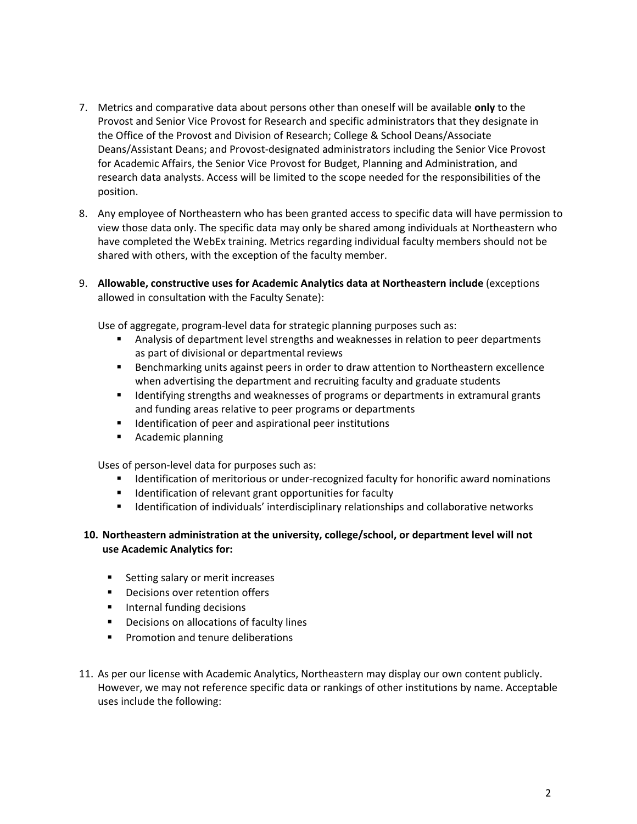- 7. Metrics and comparative data about persons other than oneself will be available **only** to the Provost and Senior Vice Provost for Research and specific administrators that they designate in the Office of the Provost and Division of Research; College & School Deans/Associate Deans/Assistant Deans; and Provost‐designated administrators including the Senior Vice Provost for Academic Affairs, the Senior Vice Provost for Budget, Planning and Administration, and research data analysts. Access will be limited to the scope needed for the responsibilities of the position.
- 8. Any employee of Northeastern who has been granted access to specific data will have permission to view those data only. The specific data may only be shared among individuals at Northeastern who have completed the WebEx training. Metrics regarding individual faculty members should not be shared with others, with the exception of the faculty member.
- 9. **Allowable, constructive uses for Academic Analytics data at Northeastern include** (exceptions allowed in consultation with the Faculty Senate):

Use of aggregate, program‐level data for strategic planning purposes such as:

- Analysis of department level strengths and weaknesses in relation to peer departments as part of divisional or departmental reviews
- Benchmarking units against peers in order to draw attention to Northeastern excellence when advertising the department and recruiting faculty and graduate students
- **IDENTIFY IDENTIFY IS A STARK IS STARK IS STARK IS A STARK IS A STARK IS A STARK IS A STARK IS A STARK IS A STARK IS A STARK IS A STARK IS A STARK IS A STARK IS A STARK IS A STARK IS A STARK IS A STARK IS A STARK IS A STAR** and funding areas relative to peer programs or departments
- Identification of peer and aspirational peer institutions
- Academic planning

Uses of person‐level data for purposes such as:

- Identification of meritorious or under-recognized faculty for honorific award nominations
- **IDENTIFICATE:** Identification of relevant grant opportunities for faculty
- **IDED** Identification of individuals' interdisciplinary relationships and collaborative networks

#### **10. Northeastern administration at the university, college/school, or department level will not use Academic Analytics for:**

- Setting salary or merit increases
- Decisions over retention offers
- Internal funding decisions
- **•** Decisions on allocations of faculty lines
- Promotion and tenure deliberations
- 11. As per our license with Academic Analytics, Northeastern may display our own content publicly. However, we may not reference specific data or rankings of other institutions by name. Acceptable uses include the following: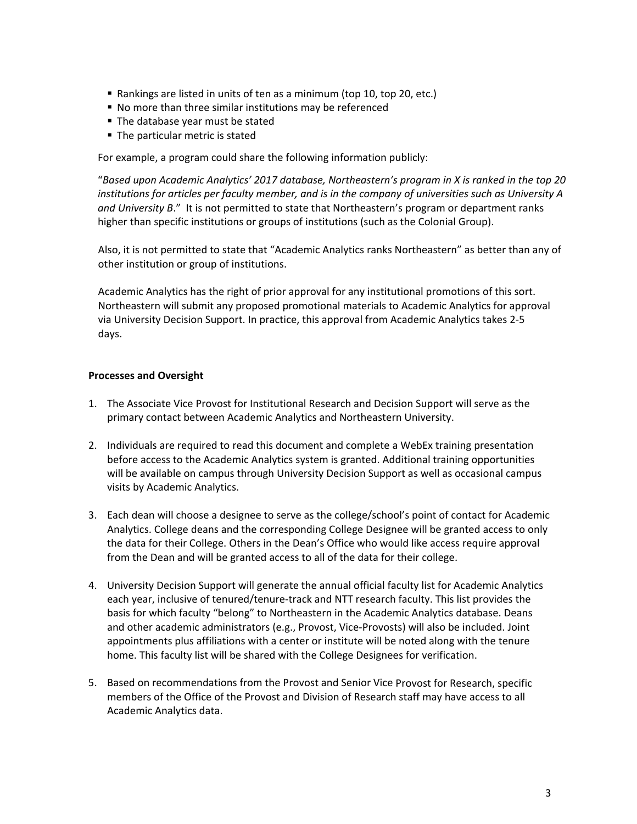- Rankings are listed in units of ten as a minimum (top 10, top 20, etc.)
- No more than three similar institutions may be referenced
- The database year must be stated
- The particular metric is stated

For example, a program could share the following information publicly:

"*Based upon Academic Analytics' 2017 database, Northeastern's program in X is ranked in the top 20 institutions for articles per faculty member, and is in the company of universities such as University A and University B*." It is not permitted to state that Northeastern's program or department ranks higher than specific institutions or groups of institutions (such as the Colonial Group).

Also, it is not permitted to state that "Academic Analytics ranks Northeastern" as better than any of other institution or group of institutions.

Academic Analytics has the right of prior approval for any institutional promotions of this sort. Northeastern will submit any proposed promotional materials to Academic Analytics for approval via University Decision Support. In practice, this approval from Academic Analytics takes 2‐5 days.

#### **Processes and Oversight**

- 1. The Associate Vice Provost for Institutional Research and Decision Support will serve as the primary contact between Academic Analytics and Northeastern University.
- 2. Individuals are required to read this document and complete a WebEx training presentation before access to the Academic Analytics system is granted. Additional training opportunities will be available on campus through University Decision Support as well as occasional campus visits by Academic Analytics.
- 3. Each dean will choose a designee to serve as the college/school's point of contact for Academic Analytics. College deans and the corresponding College Designee will be granted access to only the data for their College. Others in the Dean's Office who would like access require approval from the Dean and will be granted access to all of the data for their college.
- 4. University Decision Support will generate the annual official faculty list for Academic Analytics each year, inclusive of tenured/tenure‐track and NTT research faculty. This list provides the basis for which faculty "belong" to Northeastern in the Academic Analytics database. Deans and other academic administrators (e.g., Provost, Vice‐Provosts) will also be included. Joint appointments plus affiliations with a center or institute will be noted along with the tenure home. This faculty list will be shared with the College Designees for verification.
- 5. Based on recommendations from the Provost and Senior Vice Provost for Research, specific members of the Office of the Provost and Division of Research staff may have access to all Academic Analytics data.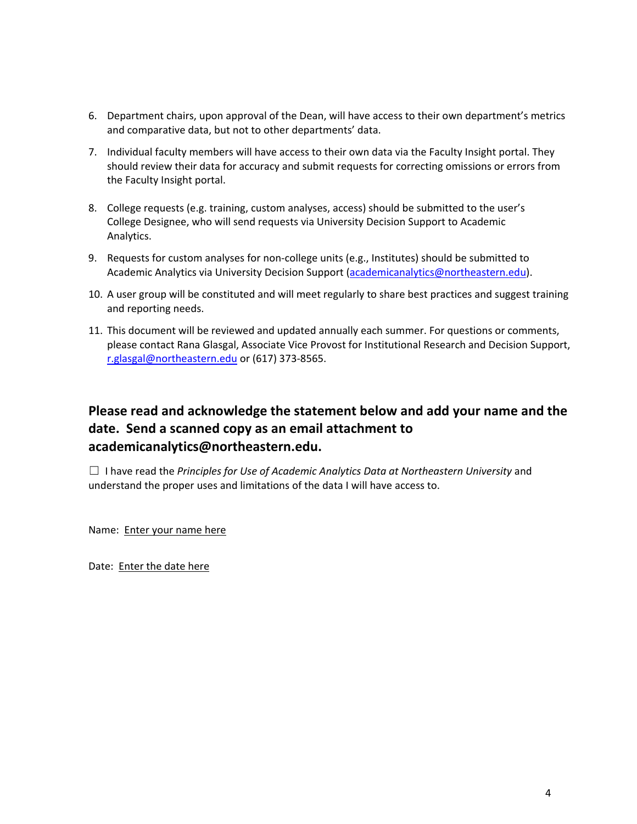- 6. Department chairs, upon approval of the Dean, will have access to their own department's metrics and comparative data, but not to other departments' data.
- 7. Individual faculty members will have access to their own data via the Faculty Insight portal. They should review their data for accuracy and submit requests for correcting omissions or errors from the Faculty Insight portal.
- 8. College requests (e.g. training, custom analyses, access) should be submitted to the user's College Designee, who will send requests via University Decision Support to Academic Analytics.
- 9. Requests for custom analyses for non-college units (e.g., Institutes) should be submitted to Academic Analytics via University Decision Support (academicanalytics@northeastern.edu).
- 10. A user group will be constituted and will meet regularly to share best practices and suggest training and reporting needs.
- 11. This document will be reviewed and updated annually each summer. For questions or comments, please contact Rana Glasgal, Associate Vice Provost for Institutional Research and Decision Support, r.glasgal@northeastern.edu or (617) 373‐8565.

# **Please read and acknowledge the statement below and add your name and the date. Send a scanned copy as an email attachment to academicanalytics@northeastern.edu.**

☐ I have read the *Principles for Use of Academic Analytics Data at Northeastern University* and understand the proper uses and limitations of the data I will have access to.

Name: Enter your name here

Date: Enter the date here